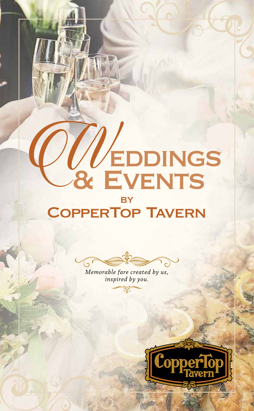# **BY** COLEDDINGS

# CopperTop Tavern

 $( \mathsf{D}$ 

*Memorable fare created by us, inspired by you.*

 $\Im$ E

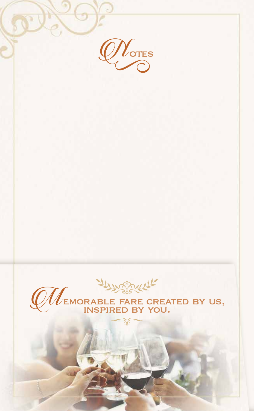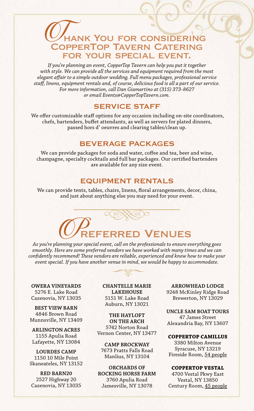# **HANK YOU FOR CONSIDERING** CopperTop Tavern Catering for your special event.

*If you're planning an event, CopperTop Tavern can help you put it together with style. We can provide all the services and equipment required from the most elegant affair to a simple outdoor wedding. Full menu packages, professional service staff, linens, equipment rentals and, of course, delicious food is all a part of our service. For more information, call Dan Giamartino at (315) 373-8627 or email Events@CopperTopTavern.com.*

# SERVICE STAFF

 We offer customizable staff options for any occasion including on-site coordinators, chefs, bartenders, buffet attendants, as well as servers for plated dinners, passed hors d' oeuvres and clearing tables/clean up.

# BEVERAGE PACKAGES

We can provide packages for soda and water, coffee and tea, beer and wine, champagne, specialty cocktails and full bar packages. Our certified bartenders are available for any size event.

# EQUIPMENT RENTALS

We can provide tents, tables, chairs, linens, floral arrangements, decor, china, and just about anything else you may need for your event.

# **FERRED VENUES**

*As you're planning your special event, call on the professionals to ensure everything goes smoothly. Here are some preferred vendors we have worked with many times and we can confidently recommend! These vendors are reliable, experienced and know how to make your event special. If you have another venue in mind, we would be happy to accommodate.*

**OWERA VINEYARDS** 5276 E. Lake Road Cazenovia, NY 13035

**BEST VIEW BARN** 4846 Brown Road Munnsville, NY 13409

**ARLINGTON ACRES** 1155 Apulia Road Lafayette, NY 13084

**LOURDES CAMP** 1150 10 Mile Point Skaneateles, NY 13152

**RED BARN20** 2527 Highway 20 Cazenovia, NY 13035 **CHANTELLE MARIE LAKEHOUSE** 5151 W. Lake Road Auburn, NY 13021

**THE HAYLOFT ON THE ARCH** 5742 Norton Road Vernon Center, NY 13477

**CAMP BROCKWAY** 7673 Pratts Falls Road Manlius, NY 13104

**ORCHARDS OF ROCKING HORSE FARM** 3760 Apulia Road Jamesville, NY 13078

**ARROWHEAD LODGE** 9248 McKinley Ridge Road Brewerton, NY 13029

**UNCLE SAM BOAT TOURS** 47 James Street Alexandria Bay, NY 13607

**COPPERTOP CAMILLUS** 3380 Milton Avenue Syracuse, NY 13219 Fireside Room, 54 people

#### **COPPERTOP VESTAL**

4700 Vestal Pkwy East Vestal, NY 13850 Century Room, 45 people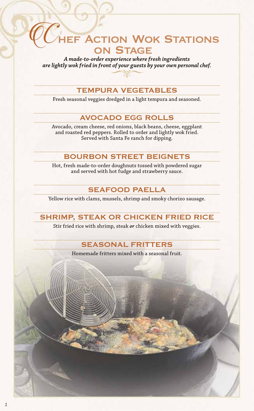# **CONSTANTIONS** on Stage

*A made-to-order experience where fresh ingredients are lightly wok fried in front of your guests by your own personal chef.*

## TEMPURA VEGETABLES

Fresh seasonal veggies dredged in a light tempura and seasoned.

# AVOCADO EGG ROLLS

Avocado, cream cheese, red onions, black beans, cheese, eggplant and roasted red peppers. Rolled to order and lightly wok fried. Served with Santa Fe ranch for dipping.

# BOURBON STREET BEIGNETS

Hot, fresh made-to-order doughnuts tossed with powdered sugar and served with hot fudge and strawberry sauce.

# SEAFOOD PAELLA

Yellow rice with clams, mussels, shrimp and smoky chorizo sausage.

# SHRIMP, STEAK OR CHICKEN FRIED RICE

Stir fried rice with shrimp, steak *or* chicken mixed with veggies.

# SEASONAL FRITTERS

Homemade fritters mixed with a seasonal fruit.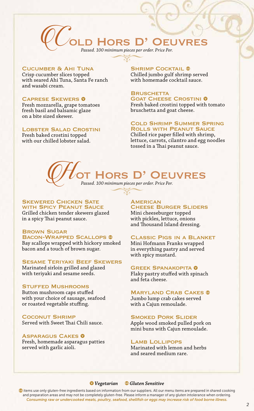

#### Cucumber & Ahi Tuna

Crisp cucumber slices topped with seared Ahi Tuna, Santa Fe ranch and wasabi cream.

#### **CAPRESE SKEWERS 0**

Fresh mozzarella, grape tomatoes fresh basil and balsamic glaze on a bite sized skewer.

#### Lobster Salad Crostini

Fresh baked crostini topped with our chilled lobster salad.

# **SHRIMP COCKTAIL ®**

Chilled jumbo gulf shrimp served with homemade cocktail sauce.

## **BRUSCHETTA GOAT CHEESE CROSTINI 0**

Fresh baked crostini topped with tomato bruschetta and goat cheese.

#### Cold Shrimp Summer Spring Rolls with Peanut Sauce

Chilled rice paper filled with shrimp, lettuce, carrots, cilantro and egg noodles tossed in a Thai peanut sauce.

# HORS D' OEUVRES *Passed. 100 minimum pieces per order. Price Per.*

#### **SKEWERED CHICKEN SATE** WITH SPICY PEANUT SAUCE

Grilled chicken tender skewers glazed in a spicy Thai peanut sauce.

## Brown Sugar

BACON-WRAPPED SCALLOPS ® Bay scallops wrapped with hickory smoked bacon and a touch of brown sugar.

#### Sesame Teriyaki Beef Skewers

Marinated sirloin grilled and glazed with teriyaki and sesame seeds.

#### Stuffed Mushrooms

Button mushroom caps stuffed with your choice of sausage, seafood or roasted vegetable stuffing.

Coconut Shrimp Served with Sweet Thai Chili sauce.

#### **ASPARAGUS CAKES 0**

Fresh, homemade asparagus patties served with garlic aioli.

#### **AMERICAN** Cheese Burger Sliders Mini cheeseburger topped with pickles, lettuce, onions

and Thousand Island dressing.

#### Classic Pigs in a Blanket

Mini Hofmann Franks wrapped in everything pastry and served with spicy mustard.

#### **GREEK SPANAKOPITA O**

Flaky pastry stuffed with spinach and feta cheese.

#### **MARYLAND CRAB CAKES ®**

Jumbo lump crab cakes served with a Cajun remoulade.

#### **SMOKED PORK SLIDER**

Apple wood smoked pulled pork on mini buns with Cajun remoulade.

#### LAMB LOLLIPOPS

Marinated with lemon and herbs and seared medium rare.

#### *Vegetarian Gluten Sensitive*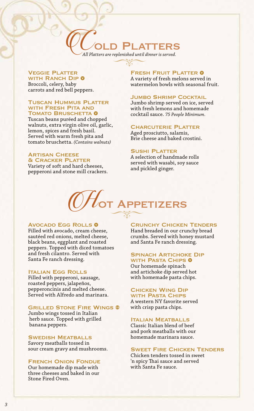# PLATTERS

*All Platters are replenished until dinner is served.*

#### Veggie Platter

WITH RANCH DIP **O** Broccoli, celery, baby carrots and red bell peppers.

#### **TUSCAN HUMMUS PLATTER** WITH FRESH PITA AND **TOMATO BRUSCHETTA O**

Tuscan beans puréed and chopped walnuts, extra virgin olive oil, garlic, lemon, spices and fresh basil. Served with warm fresh pita and tomato bruschetta. *(Contains walnuts)* 

#### **ARTISAN CHEESE** & Cracker Platter

Variety of soft and hard cheeses, pepperoni and stone mill crackers.

#### **FRESH FRUIT PLATTER O**

A variety of fresh melons served in watermelon bowls with seasonal fruit.

#### **JUMBO SHRIMP COCKTAIL**

Jumbo shrimp served on ice, served with fresh lemons and homemade cocktail sauce. *75 People Minimum.* 

#### **CHARCUTERIE PLATTER**

Aged prosciutto, salamis, Brie cheese and baked crostini.

#### SUSHI PI ATTER

A selection of handmade rolls served with wasabi, soy sauce and pickled ginger.

# $\mathcal{H}_{\mathsf{OT}}$  Appetizers

#### AVOCADO EGG ROLLS 0

Filled with avocado, cream cheese, sautéed red onions, melted cheese, black beans, eggplant and roasted peppers. Topped with diced tomatoes and fresh cilantro. Served with Santa Fe ranch dressing.

#### Italian Egg Rolls

Filled with pepperoni, sausage, roasted peppers, jalapeños, pepperoncinis and melted cheese. Served with Alfredo and marinara.

#### Grilled Stone Fire Wings

Jumbo wings tossed in Italian herb sauce. Topped with grilled banana peppers.

#### Swedish Meatballs

Savory meatballs tossed in sour cream gravy and mushrooms.

#### French Onion Fondue

Our homemade dip made with three cheeses and baked in our Stone Fired Oven.

#### Crunchy Chicken Tenders

Hand breaded in our crunchy bread crumbs. Served with honey mustard and Santa Fe ranch dressing.

#### **SPINACH ARTICHOKE DIP** WITH PASTA CHIPS **O**

Our homemade spinach and artichoke dip served hot with homemade pasta chips.

#### Chicken Wing Dip WITH PASTA CHIPS

A western NY favorite served with crisp pasta chips.

#### Italian Meatballs

Classic Italian blend of beef and pork meatballs with our homemade marinara sauce.

#### Sweet Fire Chicken Tenders

Chicken tenders tossed in sweet 'n spicy Thai sauce and served with Santa Fe sauce.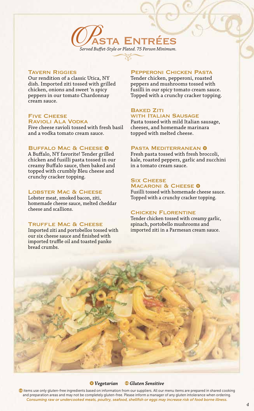

#### **TAVERN RIGGIES**

Our rendition of a classic Utica, NY dish. Imported ziti tossed with grilled chicken, onions and sweet 'n spicy peppers in our tomato Chardonnay cream sauce.

#### Five Cheese Ravioli Ala Vodka

Five cheese ravioli tossed with fresh basil and a vodka tomato cream sauce.

#### BUFFALO MAC & CHEESE <sup>O</sup>

A Buffalo, NY favorite! Tender grilled chicken and fusilli pasta tossed in our creamy Buffalo sauce, then baked and topped with crumbly Bleu cheese and crunchy cracker topping.

#### LOBSTER MAC & CHEESE

Lobster meat, smoked bacon, ziti, homemade cheese sauce, melted cheddar cheese and scallions.

#### TRUFFLE MAC & CHEESE

Imported ziti and portobellos tossed with our six cheese sauce and finished with imported truffle oil and toasted panko bread crumbs.

#### Pepperoni Chicken Pasta

Tender chicken, pepperoni, roasted peppers and mushrooms tossed with fusilli in our spicy tomato cream sauce. Topped with a crunchy cracker topping.

#### **BAKED ZITI** WITH **ITALIAN SAUSAGE**

Pasta tossed with mild Italian sausage, cheeses, and homemade marinara topped with melted cheese.

#### PASTA MEDITERRANEAN O

Fresh pasta tossed with fresh broccoli, kale, roasted peppers, garlic and zucchini in a tomato cream sauce.

#### **SIX CHEESE MACARONI & CHEESE O**

Fusilli tossed with homemade cheese sauce. Topped with a crunchy cracker topping.

#### Chicken Florentine

Tender chicken tossed with creamy garlic, spinach, portobello mushrooms and imported ziti in a Parmesan cream sauce.



#### *Vegetarian Gluten Sensitive*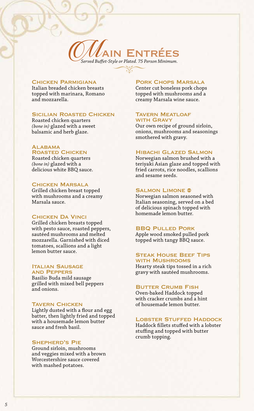

#### Chicken Parmigiana

Italian breaded chicken breasts topped with marinara, Romano and mozzarella.

#### **SICILIAN ROASTED CHICKEN**

Roasted chicken quarters *(bone in)* glazed with a sweet balsamic and herb glaze.

#### **ALABAMA**

## ROASTED CHICKEN

Roasted chicken quarters *(bone in)* glazed with a delicious white BBQ sauce.

#### Chicken Marsala

Grilled chicken breast topped with mushrooms and a creamy Marsala sauce.

#### Chicken Da Vinci

Grilled chicken breasts topped with pesto sauce, roasted peppers, sautéed mushrooms and melted mozzarella. Garnished with diced tomatoes, scallions and a light lemon butter sauce.

#### **ITALIAN SAUSAGE** and Peppers

Basilio Buda mild sausage grilled with mixed bell peppers and onions.

#### **TAVERN CHICKEN**

Lightly dusted with a flour and egg batter, then lightly fried and topped with a housemade lemon butter sauce and fresh basil.

#### Shepherd's Pie

Ground sirloin, mushrooms and veggies mixed with a brown Worcestershire sauce covered with mashed potatoes.

#### Pork Chops Marsala

Center cut boneless pork chops topped with mushrooms and a creamy Marsala wine sauce.

#### Tavern Meatloaf with Gravy

Our own recipe of ground sirloin, onions, mushrooms and seasonings smothered with gravy.

#### Hibachi Glazed Salmon

Norwegian salmon brushed with a teriyaki Asian glaze and topped with fried carrots, rice noodles, scallions and sesame seeds.

#### **SALMON LIMONE ®**

Norwegian salmon seasoned with Italian seasoning, served on a bed of delicious spinach topped with homemade lemon butter.

#### BBQ Pulled Pork

Apple wood smoked pulled pork topped with tangy BBQ sauce.

#### Steak House Beef Tips with Mushrooms

Hearty steak tips tossed in a rich gravy with sautéed mushrooms.

#### **BUTTER CRUMB FISH**

Oven-baked Haddock topped with cracker crumbs and a hint of housemade lemon butter.

#### LOBSTER STUFFED HADDOCK

Haddock fillets stuffed with a lobster stuffing and topped with butter crumb topping.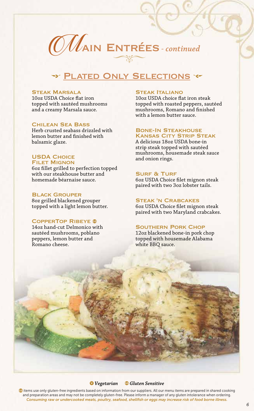

# \* PLATED ONLY SELECTIONS \*

#### Steak Marsala

10oz USDA Choice flat iron topped with sautéed mushrooms and a creamy Marsala sauce.

#### Chilean Sea Bass

Herb crusted seabass drizzled with lemon butter and finished with balsamic glaze.

#### **USDA CHOICE FILET MIGNON**

6oz fillet grilled to perfection topped with our steakhouse butter and homemade béarnaise sauce.

#### Black Grouper

8oz grilled blackened grouper topped with a light lemon butter.

#### COPPERTOP RIBEYE ®

14oz hand-cut Delmonico with sautéed mushrooms, poblano peppers, lemon butter and Romano cheese.

#### Steak Italiano

10oz USDA choice flat iron steak topped with roasted peppers, sautéed mushrooms, Romano and finished with a lemon butter sauce.

#### Bone-In Steakhouse Kansas City Strip Steak

A delicious 18oz USDA bone-in strip steak topped with sautéed mushrooms, housemade steak sauce and onion rings.

#### **SURF & TURF**

6oz USDA Choice filet mignon steak paired with two 3oz lobster tails.

#### Steak 'n Crabcakes

6oz USDA Choice filet mignon steak paired with two Maryland crabcakes.

#### SOUTHERN PORK CHOP

12oz blackened bone-in pork chop topped with housemade Alabama white BBQ sauce.

#### *Vegetarian Gluten Sensitive*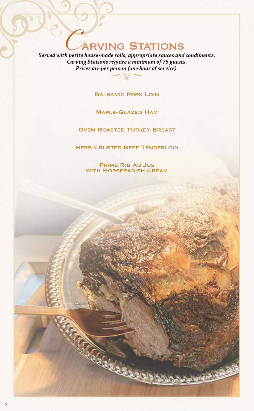# **ARVING STATIONS**

*Served with petite house-made rolls, appropriate sauces and condiments. Carving Stations require a minimum of 75 guests. Prices are per person (one hour of service).*

Balsamic Pork Loin

Maple-Glazed Ham

Oven-Roasted Turkey Breast

**HERB CRUSTED BEEF TENDERLOIN** 

Prime Rib Au Jus with Horseradish Cream

REGELARA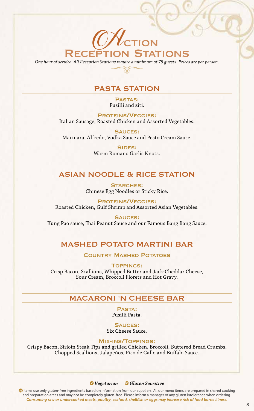# **OV** CTION Reception Stations

*One hour of service. All Reception Stations require a minimum of 75 guests. Prices are per person.*

# PASTA STATION

Pastas: Fusilli and ziti.

Proteins/Veggies: Italian Sausage, Roasted Chicken and Assorted Vegetables.

Sauces: Marinara, Alfredo, Vodka Sauce and Pesto Cream Sauce.

> SIDES: Warm Romano Garlic Knots.

# ASIAN NOODLE & RICE STATION

STARCHES: Chinese Egg Noodles or Sticky Rice.

Proteins/Veggies: Roasted Chicken, Gulf Shrimp and Assorted Asian Vegetables.

Sauces: Kung Pao sauce, Thai Peanut Sauce and our Famous Bang Bang Sauce.

## MASHED POTATO MARTINI BAR

Country Mashed Potatoes

Toppings:

Crisp Bacon, Scallions, Whipped Butter and Jack-Cheddar Cheese, Sour Cream, Broccoli Florets and Hot Gravy.

# MACARONI 'N CHEESE BAR

Pasta: Fusilli Pasta.

SAUCES: Six Cheese Sauce.

Mix-ins/Toppings:

Crispy Bacon, Sirloin Steak Tips and grilled Chicken, Broccoli, Buttered Bread Crumbs, Chopped Scallions, Jalapeños, Pico de Gallo and Buffalo Sauce.

#### *Vegetarian Gluten Sensitive*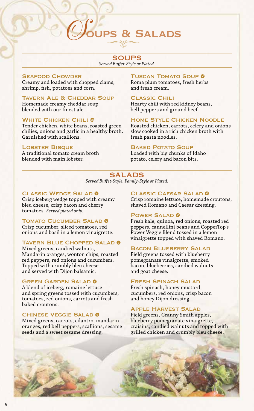# UPS & SALADS

# SOUPS

*Served Buffet-Style or Plated.*

#### Seafood Chowder

Creamy and loaded with chopped clams, shrimp, fish, potatoes and corn.

#### **TAVERN ALE & CHEDDAR SOUP**

Homemade creamy cheddar soup blended with our finest ale.

#### **WHITE CHICKEN CHILI ®**

Tender chicken, white beans, roasted green chilies, onions and garlic in a healthy broth. Garnished with scallions.

#### LOBSTER BISQUE

A traditional tomato cream broth blended with main lobster.

#### **TUSCAN TOMATO SOUP O**

Roma plum tomatoes, fresh herbs and fresh cream.

#### Classic Chili

Hearty chili with red kidney beans, bell peppers and ground beef.

#### Home Style Chicken Noodle

Roasted chicken, carrots, celery and onions slow cooked in a rich chicken broth with fresh pasta noodles.

#### **BAKED POTATO SOUP**

Loaded with big chunks of Idaho potato, celery and bacon bits.

#### SALADS *Served Buffet-Style, Family-Style or Plated.*

#### **CLASSIC WEDGE SALAD 0**

Crisp iceberg wedge topped with creamy bleu cheese, crisp bacon and cherry tomatoes. *Served plated only.* 

#### TOMATO CUCUMBER SALAD <sup>0</sup>

Crisp cucumber, sliced tomatoes, red onions and basil in a lemon vinaigrette.

#### TAVERN BLUE CHOPPED SALAD <sup>0</sup>

Mixed greens, candied walnuts, Mandarin oranges, wonton chips, roasted red peppers, red onions and cucumbers. Topped with crumbly bleu cheese and served with Dijon balsamic.

#### **GREEN GARDEN SALAD 0**

A blend of iceberg, romaine lettuce and spring greens tossed with cucumbers, tomatoes, red onions, carrots and fresh baked croutons.

#### **CHINESE VEGGIE SALAD @**

Mixed greens, carrots, cilantro, mandarin oranges, red bell peppers, scallions, sesame seeds and a sweet sesame dressing.

#### CLASSIC CAESAR SALAD 0

Crisp romaine lettuce, homemade croutons, shaved Romano and Caesar dressing.

#### POWER SALAD **O**

Fresh kale, quinoa, red onions, roasted red peppers, cannellini beans and CopperTop's Power Veggie Blend tossed in a lemon vinaigrette topped with shaved Romano.

#### Bacon Blueberry Salad

Field greens tossed with blueberry pomegranate vinaigrette, smoked bacon, blueberries, candied walnuts and goat cheese.

#### **FRESH SPINACH SALAD**

Fresh spinach, honey mustard, cucumbers, red onions, crisp bacon and honey Dijon dressing.

#### Apple Harvest Salad

Field greens, Granny Smith apples, blueberry pomegranate vinaigrette, craisins, candied walnuts and topped with grilled chicken and crumbly bleu cheese.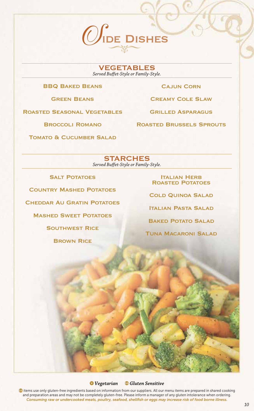

VEGETABLES *Served Buffet-Style or Family-Style.*

#### BBQ Baked Beans

Green Beans

Roasted Seasonal Vegetables

Cajun Corn

Creamy Cole Slaw

Grilled Asparagus

Roasted Brussels Sprouts

Broccoli Romano

**TOMATO & CUCUMBER SALAD** 

**STARCHES** *Served Buffet-Style or Family-Style.*

**SALT POTATOES** 

Country Mashed Potatoes

Cheddar Au Gratin Potatoes

Mashed Sweet Potatoes

Southwest Rice

**BROWN RICE** 

**ITALIAN HERB** Roasted Potatoes

Cold Quinoa Salad

Italian Pasta Salad

**BAKED POTATO SALAD** 

Tuna Macaroni Salad

#### *Vegetarian Gluten Sensitive*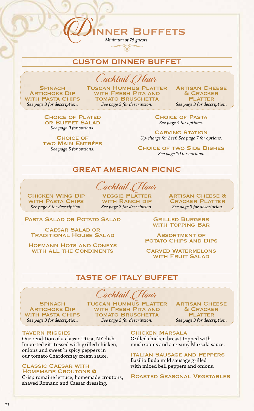# CUSTOM DINNER BUFFET

*Minimum of 75 guests.*

**NER BUFFETS** 

Cocktail Hour

**SPINACH ARTICHOKE DIP** WITH PASTA CHIPS *See page 3 for description.*

**TUSCAN HUMMUS PLATTER** WITH FRESH PITA AND **TOMATO BRUSCHETTA** *See page 3 for description.*

**ARTISAN CHEESE** & Cracker **PLATTER** *See page 3 for description.*

**CHOICE OF PLATED** or Buffet Salad *See page 9 for options.*

**CHOICE OF** two Main Entrées *See page 5 for options.*

Choice of Pasta *See page 4 for options.*

**CARVING STATION** *Up-charge for beef. See page 7 for options.*

**CHOICE OF TWO SIDE DISHES** *See page 10 for options.*

GREAT AMERICAN PICNIC

Cocktail *(Hour* 

Chicken Wing Dip with Pasta Chips *See page 3 for description.*

Veggie Platter WITH RANCH DIP *See page 3 for description.* Artisan Cheese & Cracker Platter *See page 3 for description.*

PASTA SALAD OR POTATO SALAD

Caesar Salad or Traditional House Salad

Hofmann Hots and Coneys WITH ALL THE CONDIMENTS

Grilled Burgers WITH TOPPING BAR

Assortment of POTATO CHIPS AND DIPS

Carved Watermelons WITH FRUIT SALAD

#### TASTE OF ITALY BUFFET

Cocktail Hour

**SPINACH ARTICHOKE DIP** WITH PASTA CHIPS *See page 3 for description.*

**TUSCAN HUMMUS PLATTER** WITH FRESH PITA AND **TOMATO BRUSCHETTA** *See page 3 for description.*

**ARTISAN CHEESE** & Cracker **PLATTER** *See page 3 for description.*

#### Tavern Riggies

Our rendition of a classic Utica, NY dish. Imported ziti tossed with grilled chicken, onions and sweet 'n spicy peppers in our tomato Chardonnay cream sauce.

#### Classic Caesar with HOMEMADE CROUTONS 0

Crisp romaine lettuce, homemade croutons, shaved Romano and Caesar dressing.

Chicken Marsala Grilled chicken breast topped with mushrooms and a creamy Marsala sauce.

Italian Sausage and Peppers Basilio Buda mild sausage grilled with mixed bell peppers and onions.

Roasted Seasonal Vegetables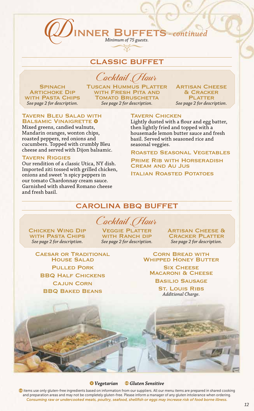# CLASSIC BUFFET

*Minimum of 75 guests.*

**SPINACH ARTICHOKE DIP** WITH PASTA CHIPS *See page 2 for description.*

Cocktail Hour Tuscan Hummus Platter WITH FRESH PITA AND **TOMATO BRUSCHETTA** *See page 2 for description.*

**ARTISAN CHEESE** & Cracker **PLATTER** *See page 2 for description.*

#### **TAVERN BLEU SALAD WITH** BALSAMIC VINAIGRETTE 0

Mixed greens, candied walnuts, Mandarin oranges, wonton chips, roasted peppers, red onions and cucumbers. Topped with crumbly Bleu cheese and served with Dijon balsamic.

#### Tavern Riggies

Our rendition of a classic Utica, NY dish. Imported ziti tossed with grilled chicken, onions and sweet 'n spicy peppers in our tomato Chardonnay cream sauce. Garnished with shaved Romano cheese and fresh basil.

#### **TAVERN CHICKEN**

**JER BUFFETS** - continued

Lightly dusted with a flour and egg batter, then lightly fried and topped with a housemade lemon butter sauce and fresh basil. Served with seasoned rice and seasonal veggies.

Roasted Seasonal Vegetables

Prime Rib with Horseradish Cream and Au Jus

**ITALIAN ROASTED POTATOES** 

## CAROLINA BBQ BUFFET

# Cocktail (Hour

Chicken Wing Dip with Pasta Chips *See page 2 for description.*

Veggie Platter WITH RANCH DIP *See page 2 for description.* **ARTISAN CHEESE & CRACKER PLATTER** *See page 2 for description.*

**CAESAR OR TRADITIONAL** House Salad Pulled Pork **BBQ HALF CHICKENS** Cajun Corn BBQ Baked Beans

Corn Bread with **WHIPPED HONEY BUTTER** 

**SIX CHEESE MACARONI & CHEESE** 

Basilio Sausage St. Louis Ribs

*Additional Charge.*

#### *Vegetarian Gluten Sensitive*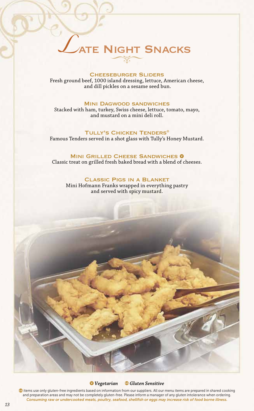# **ATE NIGHT SNACKS**

#### **CHEESEBURGER SLIDERS**

Fresh ground beef, 1000 island dressing, lettuce, American cheese, and dill pickles on a sesame seed bun.

#### Mini Dagwood sandwiches

Stacked with ham, turkey, Swiss cheese, lettuce, tomato, mayo, and mustard on a mini deli roll.

#### Tully's Chicken Tenders®

Famous Tenders served in a shot glass with Tully's Honey Mustard.

#### **MINI GRILLED CHEESE SANDWICHES 0**

Classic treat on grilled fresh baked bread with a blend of cheeses.

#### Classic Pigs in a Blanket

Mini Hofmann Franks wrapped in everything pastry and served with spicy mustard.

#### *Vegetarian Gluten Sensitive*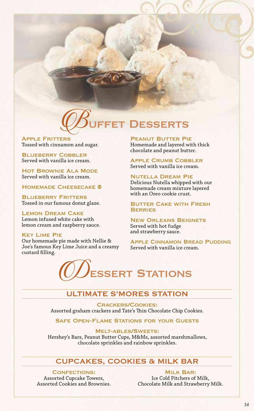

**APPLE FRITTERS** Tossed with cinnamon and sugar.

**BLUEBERRY COBBLER** Served with vanilla ice cream.

Hot Brownie Ala Mode Served with vanilla ice cream.

HOMEMADE CHEESECAKE <sup>®</sup>

**BLUEBERRY FRITTERS** Tossed in our famous donut glaze.

Lemon Dream Cake Lemon infused white cake with lemon cream and raspberry sauce.

#### Key Lime Pie

Our homemade pie made with Nellie & Joe's famous Key Lime Juice and a creamy custard filling.

PEANUT BUTTER PIE Homemade and layered with thick chocolate and peanut butter.

**APPLE CRUMB COBBLER** Served with vanilla ice cream.

Nutella Dream Pie Delicious Nutella whipped with our homemade cream mixture layered with an Oreo cookie crust.

Butter Cake with Fresh **BERRIES** 

New Orleans Beignets Served with hot fudge and strawberry sauce.

Apple Cinnamon Bread Pudding Served with vanilla ice cream.



# ULTIMATE S'MORES STATION

Crackers/Cookies: Assorted graham crackers and Tate's Thin Chocolate Chip Cookies.

Safe Open-Flame Stations for your Guests

Melt-ables/Sweets: Hershey's Bars, Peanut Butter Cups, M&Ms, assorted marshmallows, chocolate sprinkles and rainbow sprinkles.

# CUPCAKES, COOKIES & MILK BAR

Confections:

Assorted Cupcake Towers, Assorted Cookies and Brownies.

**MILK BAR:** Ice Cold Pitchers of Milk, Chocolate Milk and Strawberry Milk.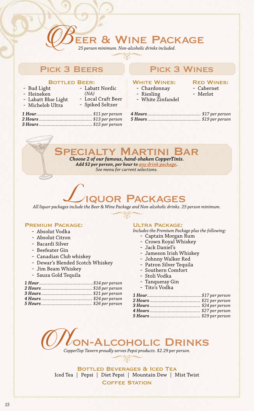# ER & WINE PACKAGE

*25 person minimum. Non-alcoholic drinks included.*

# PICK 3 BEERS PICK 3 WINES

BOTTLED BEER:<br>Bud Light - Bud Light -

# WHITE WINES:

- Chardonnay
- Riesling
- White Zinfandel
- Red Wines: - Cabernet
- Merlot
- 

- Labatt Blue Light

- Heineken

- Michelob Ultra
- Labatt Nordic *(NA)* - Local Craft Beer
- Spiked Seltzer
- *1 Hour........................................... \$11 per person 2 Hours ......................................... \$13 per person 3 Hours ......................................... \$15 per person*

## *4 Hours ......................................... \$17 per person 5 Hours ......................................... \$19 per person*

MARTINI

*Choose 2 of our famous, hand-shaken CopperTinis. Add \$2 per person, per hour to any drink package. See menu for current selections.*

# **QUOR PACKAGES**

*All liquor packages include the Beer & Wine Package and Non-alcoholic drinks. 25 person minimum.*

# PREMIUM PACKAGE:<br>- Absolut Vodka

- 
- Absolut Citron
- Bacardi Silver
- Beefeater Gin
- Canadian Club whiskey
- Dewar's Blended Scotch Whiskey
- Jim Beam Whiskey
- Sauza Gold Tequila

#### **ULTRA PACKAGE:**

*Includes the Premium Package plus the following:*

- Captain Morgan Rum
- Crown Royal Whiskey
- Jack Daniel's
- Jameson Irish Whiskey
- Johnny Walker Red
- Patron Silver Tequila
- Southern Comfort
- Stoli Vodka
- Tanqueray Gin
- Tito's Vodka



Bottled Beverages & Iced Tea Iced Tea | Pepsi | Diet Pepsi | Mountain Dew | Mist Twist Coffee Station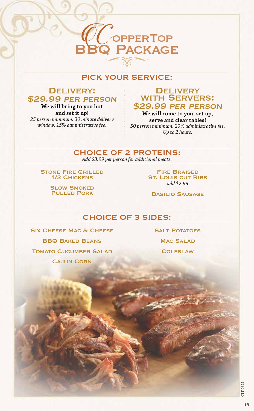# PICK YOUR SERVICE:

**BBQ PACKAGE** 

**CO**OPPERTOP

# DELIVERY: \$29.99 per person

**We will bring to you hot and set it up!** *25 person minimum. 30 minute delivery window. 15% administrative fee.*

## **DELIVERY** with Servers: \$29.99 per person

**We will come to you, set up, serve and clear tables!** *50 person minimum. 20% administrative fee. Up to 2 hours.*

# CHOICE OF 2 PROTEINS:

*Add \$3.99 per person for additional meats.*

**STONE FIRE GRILLED** 1/2 Chickens

> **SLOW SMOKED** Pulled Pork

Fire Braised **ST. LOUIS CUT RIBS** *add \$2.99*

Basilio Sausage

# CHOICE OF 3 SIDES:

SIX CHEESE MAC & CHEESE BBQ Baked Beans **TOMATO CUCUMBER SALAD** Cajun Corn

**SALT POTATOES MAC SALAD** 

**COLESLAW** 

CTT 0622**CTT 0622**